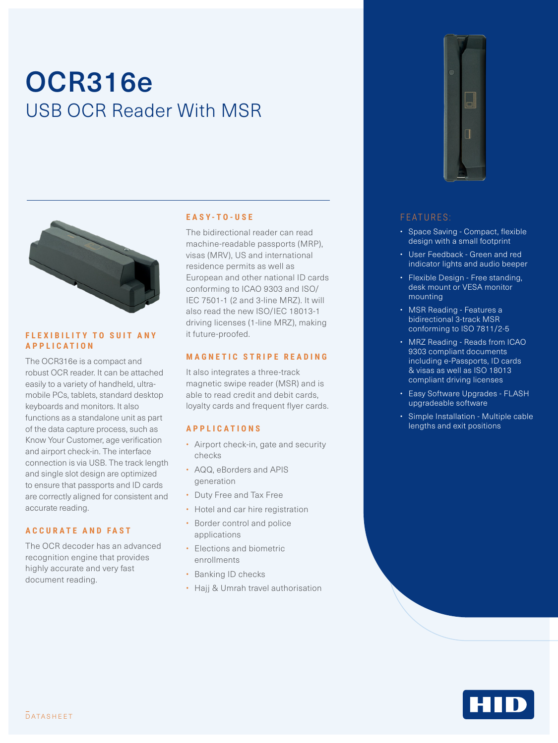# OCR316e USB OCR Reader With MSR



#### **FLEXIBILITY TO SUIT ANY APPLICATION**

The OCR316e is a compact and robust OCR reader. It can be attached easily to a variety of handheld, ultramobile PCs, tablets, standard desktop keyboards and monitors. It also functions as a standalone unit as part of the data capture process, such as Know Your Customer, age verification and airport check-in. The interface connection is via USB. The track length and single slot design are optimized to ensure that passports and ID cards are correctly aligned for consistent and accurate reading.

#### **ACCURATE AND FAST**

The OCR decoder has an advanced recognition engine that provides highly accurate and very fast document reading.

#### **EASY-TO-USE**

The bidirectional reader can read machine-readable passports (MRP), visas (MRV), US and international residence permits as well as European and other national ID cards conforming to ICAO 9303 and ISO/ IEC 7501-1 (2 and 3-line MRZ). It will also read the new ISO/IEC 18013-1 driving licenses (1-line MRZ), making it future-proofed.

#### **MAGNETIC STRIPE READING**

It also integrates a three-track magnetic swipe reader (MSR) and is able to read credit and debit cards, loyalty cards and frequent flyer cards.

#### **APPLICATIONS**

- Airport check-in, gate and security checks
- AQQ, eBorders and APIS generation
- Duty Free and Tax Free
- Hotel and car hire registration
- Border control and police applications
- Elections and biometric enrollments
- Banking ID checks
- Hajj & Umrah travel authorisation



#### FEATURES:

- Space Saving Compact, flexible design with a small footprint
- User Feedback Green and red indicator lights and audio beeper
- Flexible Design Free standing, desk mount or VESA monitor mounting
- MSR Reading Features a bidirectional 3-track MSR conforming to ISO 7811/2-5
- MRZ Reading Reads from ICAO 9303 compliant documents including e-Passports, ID cards & visas as well as ISO 18013 compliant driving licenses
- Easy Software Upgrades FLASH upgradeable software
- Simple Installation Multiple cable lengths and exit positions